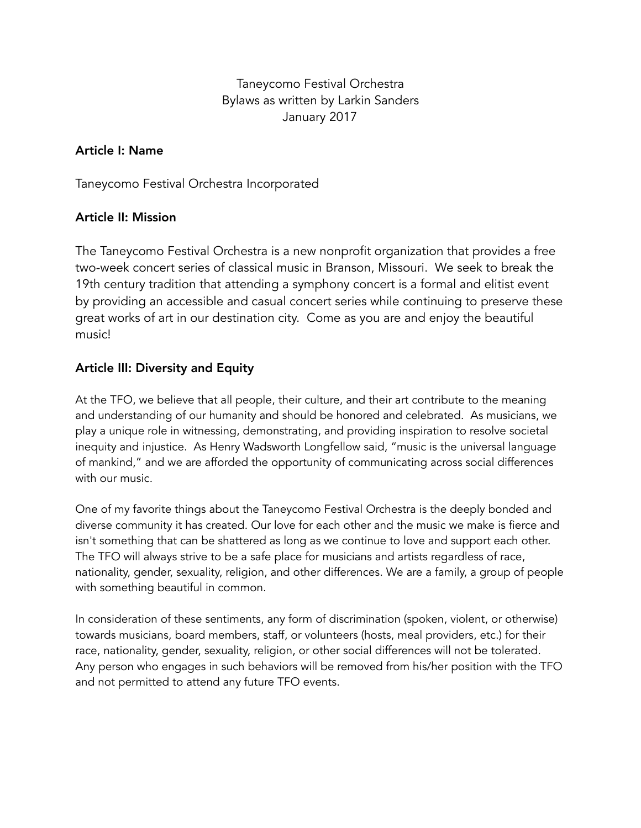Taneycomo Festival Orchestra Bylaws as written by Larkin Sanders January 2017

#### Article I: Name

Taneycomo Festival Orchestra Incorporated

#### Article II: Mission

The Taneycomo Festival Orchestra is a new nonprofit organization that provides a free two-week concert series of classical music in Branson, Missouri. We seek to break the 19th century tradition that attending a symphony concert is a formal and elitist event by providing an accessible and casual concert series while continuing to preserve these great works of art in our destination city. Come as you are and enjoy the beautiful music!

#### Article III: Diversity and Equity

At the TFO, we believe that all people, their culture, and their art contribute to the meaning and understanding of our humanity and should be honored and celebrated. As musicians, we play a unique role in witnessing, demonstrating, and providing inspiration to resolve societal inequity and injustice. As Henry Wadsworth Longfellow said, "music is the universal language of mankind," and we are afforded the opportunity of communicating across social differences with our music.

One of my favorite things about the Taneycomo Festival Orchestra is the deeply bonded and diverse community it has created. Our love for each other and the music we make is fierce and isn't something that can be shattered as long as we continue to love and support each other. The TFO will always strive to be a safe place for musicians and artists regardless of race, nationality, gender, sexuality, religion, and other differences. We are a family, a group of people with something beautiful in common.

In consideration of these sentiments, any form of discrimination (spoken, violent, or otherwise) towards musicians, board members, staff, or volunteers (hosts, meal providers, etc.) for their race, nationality, gender, sexuality, religion, or other social differences will not be tolerated. Any person who engages in such behaviors will be removed from his/her position with the TFO and not permitted to attend any future TFO events.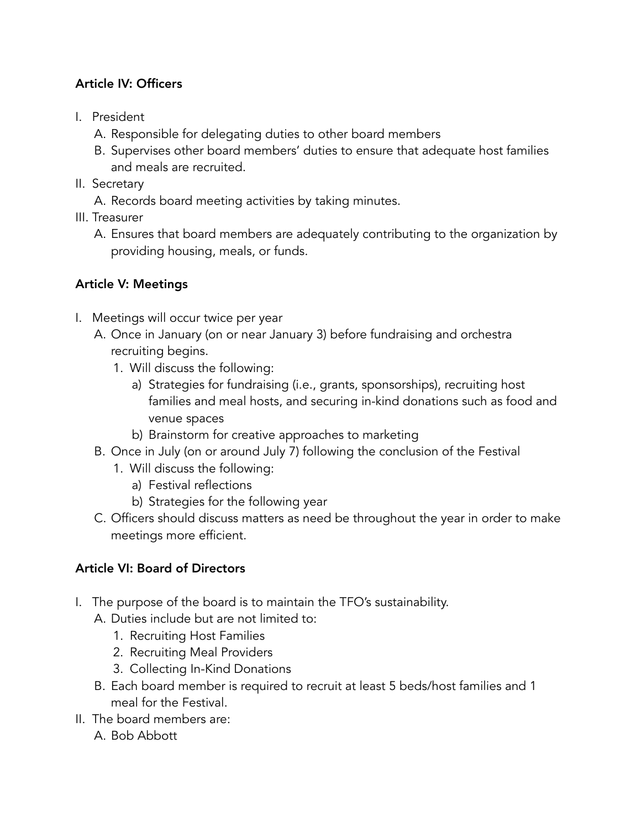## Article IV: Officers

- I. President
	- A. Responsible for delegating duties to other board members
	- B. Supervises other board members' duties to ensure that adequate host families and meals are recruited.
- II. Secretary
	- A. Records board meeting activities by taking minutes.
- III. Treasurer
	- A. Ensures that board members are adequately contributing to the organization by providing housing, meals, or funds.

### Article V: Meetings

- I. Meetings will occur twice per year
	- A. Once in January (on or near January 3) before fundraising and orchestra recruiting begins.
		- 1. Will discuss the following:
			- a) Strategies for fundraising (i.e., grants, sponsorships), recruiting host families and meal hosts, and securing in-kind donations such as food and venue spaces
			- b) Brainstorm for creative approaches to marketing
	- B. Once in July (on or around July 7) following the conclusion of the Festival
		- 1. Will discuss the following:
			- a) Festival reflections
			- b) Strategies for the following year
	- C. Officers should discuss matters as need be throughout the year in order to make meetings more efficient.

# Article VI: Board of Directors

- I. The purpose of the board is to maintain the TFO's sustainability.
	- A. Duties include but are not limited to:
		- 1. Recruiting Host Families
		- 2. Recruiting Meal Providers
		- 3. Collecting In-Kind Donations
	- B. Each board member is required to recruit at least 5 beds/host families and 1 meal for the Festival.
- II. The board members are:
	- A. Bob Abbott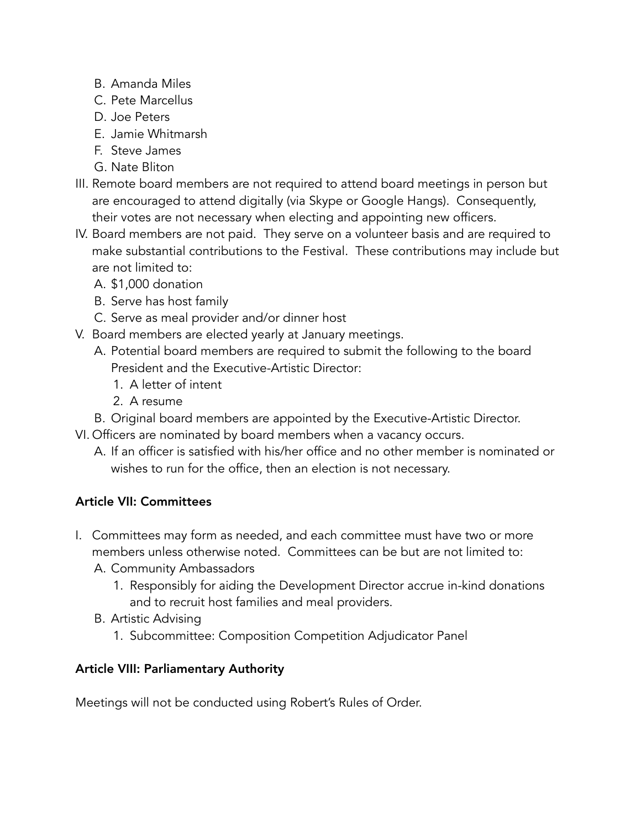- B. Amanda Miles
- C. Pete Marcellus
- D. Joe Peters
- E. Jamie Whitmarsh
- F. Steve James
- G. Nate Bliton
- III. Remote board members are not required to attend board meetings in person but are encouraged to attend digitally (via Skype or Google Hangs). Consequently, their votes are not necessary when electing and appointing new officers.
- IV. Board members are not paid. They serve on a volunteer basis and are required to make substantial contributions to the Festival. These contributions may include but are not limited to:
	- A. \$1,000 donation
	- B. Serve has host family
	- C. Serve as meal provider and/or dinner host
- V. Board members are elected yearly at January meetings.
	- A. Potential board members are required to submit the following to the board President and the Executive-Artistic Director:
		- 1. A letter of intent
		- 2. A resume
	- B. Original board members are appointed by the Executive-Artistic Director.
- VI. Officers are nominated by board members when a vacancy occurs.
	- A. If an officer is satisfied with his/her office and no other member is nominated or wishes to run for the office, then an election is not necessary.

### Article VII: Committees

- I. Committees may form as needed, and each committee must have two or more members unless otherwise noted. Committees can be but are not limited to:
	- A. Community Ambassadors
		- 1. Responsibly for aiding the Development Director accrue in-kind donations and to recruit host families and meal providers.
	- B. Artistic Advising
		- 1. Subcommittee: Composition Competition Adjudicator Panel

### Article VIII: Parliamentary Authority

Meetings will not be conducted using Robert's Rules of Order.